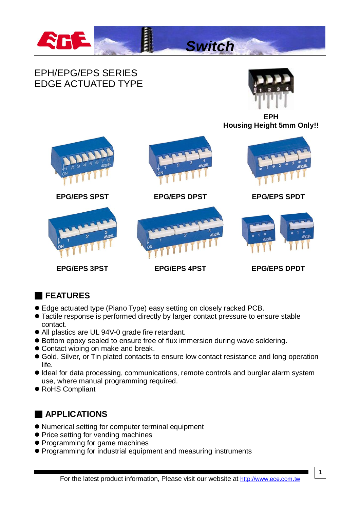

## EPH/EPG/EPS SERIES EDGE ACTUATED TYPE



**EPH Housing Height 5mm Only!!**



*Switch*

**EPG/EPS 3PST EPG/EPS 4PST EPG/EPS DPDT**

# ■ **FEATURES**

- Edge actuated type (Piano Type) easy setting on closely racked PCB.
- Tactile response is performed directly by larger contact pressure to ensure stable contact.
- All plastics are UL 94V-0 grade fire retardant.
- Bottom epoxy sealed to ensure free of flux immersion during wave soldering.
- Contact wiping on make and break.
- Gold, Silver, or Tin plated contacts to ensure low contact resistance and long operation life.
- $\bullet$  Ideal for data processing, communications, remote controls and burglar alarm system use, where manual programming required.
- RoHS Compliant

## ■ **APPLICATIONS**

- Numerical setting for computer terminal equipment
- Price setting for vending machines
- Programming for game machines
- Programming for industrial equipment and measuring instruments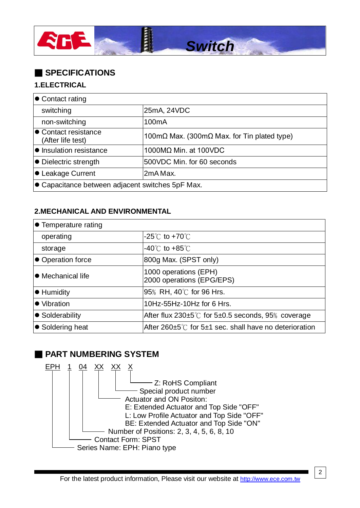

## ■ **SPECIFICATIONS**

#### **1.ELECTRICAL**

| $\bullet$ Contact rating                                 |                                                |
|----------------------------------------------------------|------------------------------------------------|
| switching                                                | 25mA, 24VDC                                    |
| non-switching                                            | 100 <sub>m</sub> A                             |
| ● Contact resistance<br>(After life test)                | $100$ mΩ Max. (300mΩ Max. for Tin plated type) |
| ● Insulation resistance                                  | 1000MΩ Min. at 100VDC                          |
| $\bullet$ Dielectric strength                            | 500VDC Min. for 60 seconds                     |
| ● Leakage Current                                        | l2mA Max.                                      |
| $\bullet$ Capacitance between adjacent switches 5pF Max. |                                                |

#### **2.MECHANICAL AND ENVIRONMENTAL**

| $\bullet$ Temperature rating |                                                                    |
|------------------------------|--------------------------------------------------------------------|
| operating                    | $-25^{\circ}$ C to +70 $^{\circ}$ C                                |
| storage                      | $-40^{\circ}$ C to $+85^{\circ}$ C                                 |
| ● Operation force            | 800g Max. (SPST only)                                              |
| ● Mechanical life            | 1000 operations (EPH)<br>2000 operations (EPG/EPS)                 |
| $\bullet$ Humidity           | 95% RH, 40℃ for 96 Hrs.                                            |
| ● Vibration                  | 10Hz-55Hz-10Hz for 6 Hrs.                                          |
| ● Solderability              | After flux 230 $\pm$ 5°C for 5 $\pm$ 0.5 seconds, 95% coverage     |
| ● Soldering heat             | After 260 $\pm$ 5°C for 5 $\pm$ 1 sec. shall have no deterioration |

### ■ **PART NUMBERING SYSTEM**

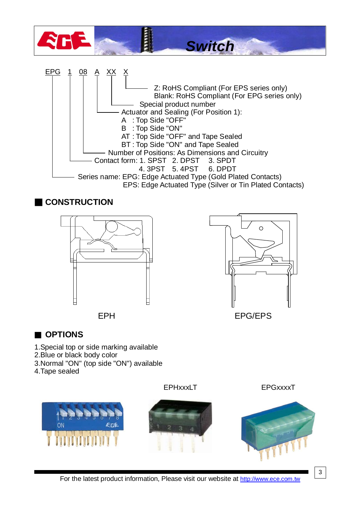

EPH EPG/EPS



- 1.Special top or side marking available
- 2.Blue or black body color
- 3.Normal "ON" (top side "ON") available
- 4.Tape sealed





EPHxxxLT EPGxxxxT



3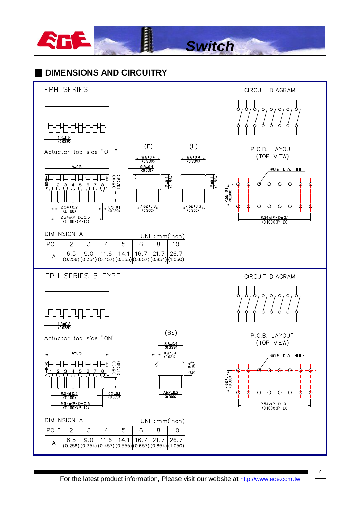

## ■ **DIMENSIONS AND CIRCUITRY**



4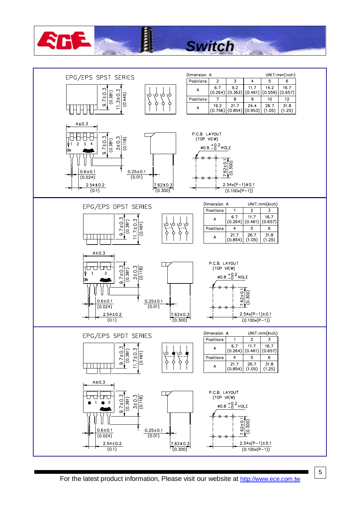

# *Switch*